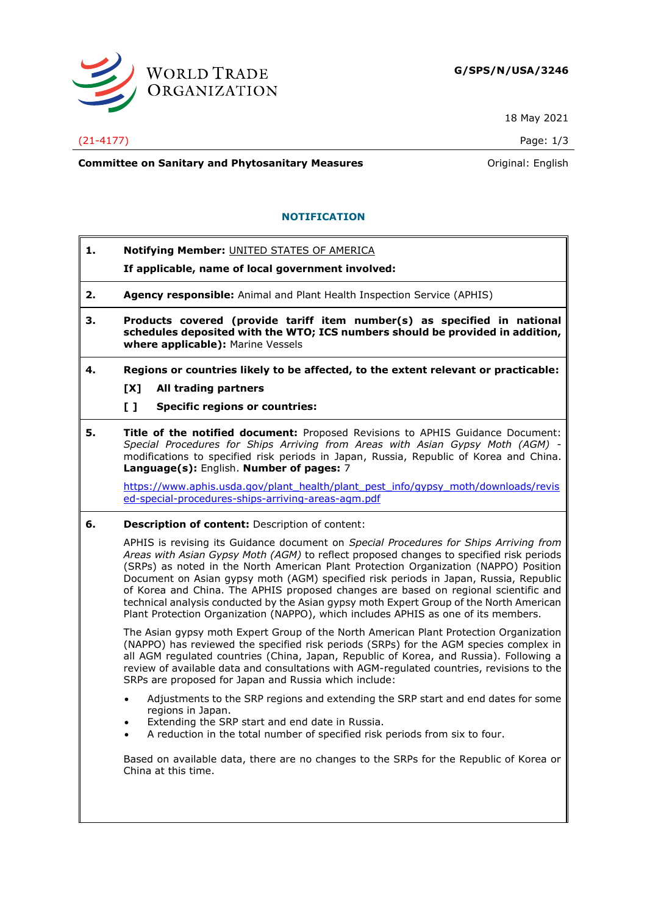

18 May 2021

## (21-4177) Page: 1/3

**Committee on Sanitary and Phytosanitary Measures Committee on Sanitary and Phytosanitary Measures Committee And American** 

# **NOTIFICATION**

**1. Notifying Member:** UNITED STATES OF AMERICA

## **If applicable, name of local government involved:**

- **2. Agency responsible:** Animal and Plant Health Inspection Service (APHIS)
- **3. Products covered (provide tariff item number(s) as specified in national schedules deposited with the WTO; ICS numbers should be provided in addition, where applicable):** Marine Vessels
- **4. Regions or countries likely to be affected, to the extent relevant or practicable:**
	- **[X] All trading partners**
	- **[ ] Specific regions or countries:**
- **5. Title of the notified document:** Proposed Revisions to APHIS Guidance Document: *Special Procedures for Ships Arriving from Areas with Asian Gypsy Moth (AGM)* modifications to specified risk periods in Japan, Russia, Republic of Korea and China. **Language(s):** English. **Number of pages:** 7

[https://www.aphis.usda.gov/plant\\_health/plant\\_pest\\_info/gypsy\\_moth/downloads/revis](https://www.aphis.usda.gov/plant_health/plant_pest_info/gypsy_moth/downloads/revised-special-procedures-ships-arriving-areas-agm.pdf) [ed-special-procedures-ships-arriving-areas-agm.pdf](https://www.aphis.usda.gov/plant_health/plant_pest_info/gypsy_moth/downloads/revised-special-procedures-ships-arriving-areas-agm.pdf)

## **6. Description of content:** Description of content:

APHIS is revising its Guidance document on *Special Procedures for Ships Arriving from Areas with Asian Gypsy Moth (AGM)* to reflect proposed changes to specified risk periods (SRPs) as noted in the North American Plant Protection Organization (NAPPO) Position Document on Asian gypsy moth (AGM) specified risk periods in Japan, Russia, Republic of Korea and China. The APHIS proposed changes are based on regional scientific and technical analysis conducted by the Asian gypsy moth Expert Group of the North American Plant Protection Organization (NAPPO), which includes APHIS as one of its members.

The Asian gypsy moth Expert Group of the North American Plant Protection Organization (NAPPO) has reviewed the specified risk periods (SRPs) for the AGM species complex in all AGM regulated countries (China, Japan, Republic of Korea, and Russia). Following a review of available data and consultations with AGM-regulated countries, revisions to the SRPs are proposed for Japan and Russia which include:

- Adjustments to the SRP regions and extending the SRP start and end dates for some regions in Japan.
- Extending the SRP start and end date in Russia.
- A reduction in the total number of specified risk periods from six to four.

Based on available data, there are no changes to the SRPs for the Republic of Korea or China at this time.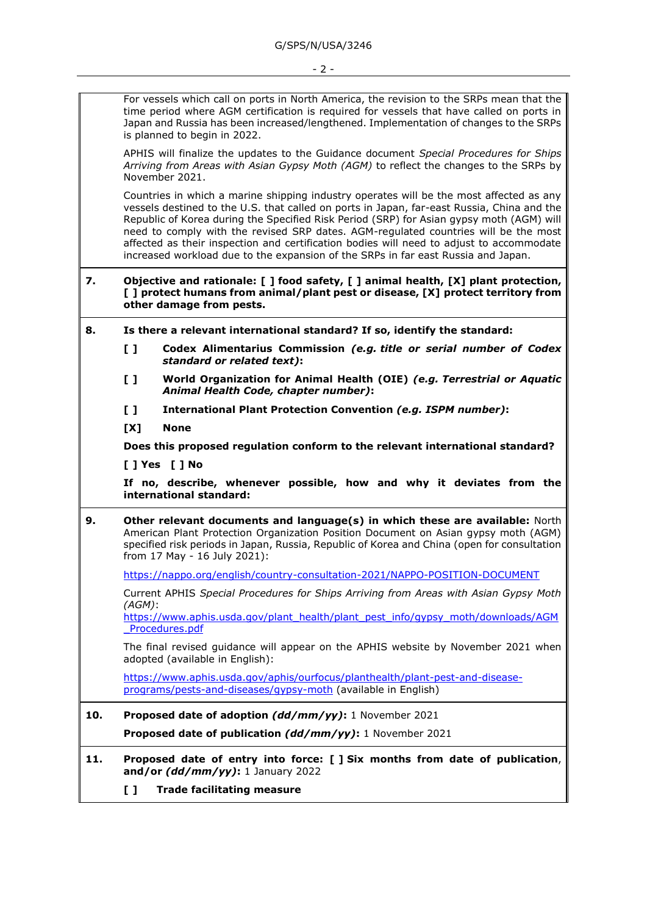For vessels which call on ports in North America, the revision to the SRPs mean that the time period where AGM certification is required for vessels that have called on ports in Japan and Russia has been increased/lengthened. Implementation of changes to the SRPs is planned to begin in 2022.

APHIS will finalize the updates to the Guidance document *Special Procedures for Ships Arriving from Areas with Asian Gypsy Moth (AGM)* to reflect the changes to the SRPs by November 2021.

Countries in which a marine shipping industry operates will be the most affected as any vessels destined to the U.S. that called on ports in Japan, far-east Russia, China and the Republic of Korea during the Specified Risk Period (SRP) for Asian gypsy moth (AGM) will need to comply with the revised SRP dates. AGM-regulated countries will be the most affected as their inspection and certification bodies will need to adjust to accommodate increased workload due to the expansion of the SRPs in far east Russia and Japan.

- **7. Objective and rationale: [ ] food safety, [ ] animal health, [X] plant protection, [ ] protect humans from animal/plant pest or disease, [X] protect territory from other damage from pests.**
- **8. Is there a relevant international standard? If so, identify the standard:**
	- **[ ] Codex Alimentarius Commission** *(e.g. title or serial number of Codex standard or related text)***:**
	- **[ ] World Organization for Animal Health (OIE)** *(e.g. Terrestrial or Aquatic Animal Health Code, chapter number)***:**
	- **[ ] International Plant Protection Convention** *(e.g. ISPM number)***:**
	- **[X] None**

**Does this proposed regulation conform to the relevant international standard?** 

**[ ] Yes [ ] No**

**If no, describe, whenever possible, how and why it deviates from the international standard:**

**9. Other relevant documents and language(s) in which these are available:** North American Plant Protection Organization Position Document on Asian gypsy moth (AGM) specified risk periods in Japan, Russia, Republic of Korea and China (open for consultation from 17 May - 16 July 2021):

<https://nappo.org/english/country-consultation-2021/NAPPO-POSITION-DOCUMENT>

Current APHIS *Special Procedures for Ships Arriving from Areas with Asian Gypsy Moth (AGM)*:

[https://www.aphis.usda.gov/plant\\_health/plant\\_pest\\_info/gypsy\\_moth/downloads/AGM](https://www.aphis.usda.gov/plant_health/plant_pest_info/gypsy_moth/downloads/AGM_Procedures.pdf) [\\_Procedures.pdf](https://www.aphis.usda.gov/plant_health/plant_pest_info/gypsy_moth/downloads/AGM_Procedures.pdf)

The final revised guidance will appear on the APHIS website by November 2021 when adopted (available in English):

[https://www.aphis.usda.gov/aphis/ourfocus/planthealth/plant-pest-and-disease](https://www.aphis.usda.gov/aphis/ourfocus/planthealth/plant-pest-and-disease-programs/pests-and-diseases/gypsy-moth)[programs/pests-and-diseases/gypsy-moth](https://www.aphis.usda.gov/aphis/ourfocus/planthealth/plant-pest-and-disease-programs/pests-and-diseases/gypsy-moth) (available in English)

**10. Proposed date of adoption** *(dd/mm/yy)***:** 1 November 2021

**Proposed date of publication** *(dd/mm/yy)***:** 1 November 2021

- **11. Proposed date of entry into force: [ ] Six months from date of publication**, **and/or** *(dd/mm/yy)***:** 1 January 2022
	- **[ ] Trade facilitating measure**